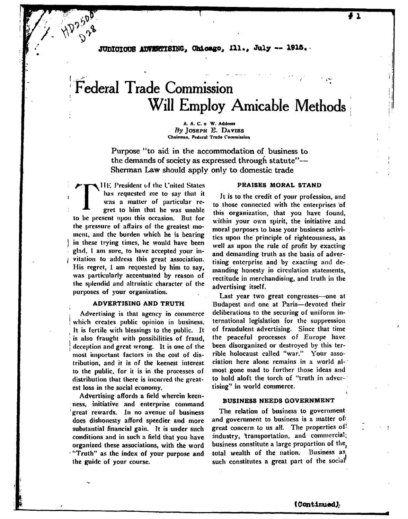**JUDICIOUS ADVERTISING, Chicago, Ill., July -- 1915.** 

# **Federal Trade Commission Will Employ Amicable Methods**

**A. A. C. o W . Address** *By* **JOSEPH E. D A VIES Chairman. Federal Trade Commission**

Purpose "to aid in the accommodation of business to the demands of society as expressed through statute"— Shennan Law should apply only to domestic trade

 $\prod_{\substack{h\\ \mathbf{w} \text{ is a prime}}}$ **111-: President of the L'nited States** has requested me to say that it was a matter of particular re**gret to him that he was unable to be present upon this occasion. But for the pressure of affairs of the greatest mo ment, and the burden which he is bearing** in these trying times, he would have been glad, 1 am sure, to have accepted your in*l* **vitation to address this great association.** His regret, 1 am requested by him to say, was particularly accentuated by reason of **the splendid and altruistic character of the purposes of your organization.**

**/ ^**

#### **ADVERTISING AND TRUTH**

**Advertising is that agency in commerce ! which creates public opinion in business. It is fertile with blessings to the public. It : is also fraught with possibilities of fraud, j deception and great wrong. It is one of the most important factors in the cost of distribution, and it is of the keenest interest to the public, for it is in the processes of distribution that there is incurred the greatest loss in the social economy.**

**Advertising affords a field wherein keen**ness, initiative and enterprise command **great rewards. In no avenue of business** docs dishonesty afford speedier and more **substantial financial gain. It is under such conditions and in such a field that you have organized these associations, with the word 1 "Truth" as the index of your purpose and the guide of your course.**

#### **PRAISES MORAL STAND**

**It is to the credit of your profession, and to those connected with the enterprises 'of this organization, that you have found,** within your own spirit, the initiative and **moral purposes to base your business activities upon the principle of righteousness, as well as upon the rule of profit by exacting and demanding truth as the basis of advertising enterprise and by exacting and demanding honesty in circulation statements, rectitude in merchandising, and truth in the advertising itself.**

**Last year two great congresses—one at Budapest and one at Paris—devoted their deliberations to the securing of uniform international legislation for the suppression of fraudulent advertising. Since that time the peaceful processes of Europe have been disorganized or destroyed by this terrible holocaust called "war." Your association here alone remains in a world al**most gone mad to further those ideas and **to hold aloft the torch of "truth in advertising" in world commerce.**

#### **BUSINESS NEEDS GOVERNMENT**

**The relation of business to government and government to business is a matter of'** great concern to us all. The properties of **industry, transportation, and commercial; business constitute a large proportion of the( total wealth of the nation. Business as such constitutes a great part of the social**

**(Continued);**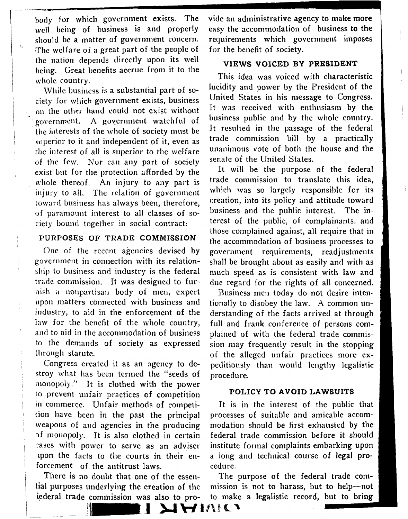body for which government exists. The well being of business is and properly should be a matter of government concern, •The welfare of a great part of the people of the nation depends directly upon its well being. Great benefits accrue from it to the whole country.

 $\mathbf{v}_k$ 

While business is a substantial part of society for which government exists, business on the other hand could not exist without government. A government watchful of the interests of the whole of society must be superior to it and independent of it, even as the interest of all is superior to the welfare of the few. Nor can any part of society exist but for the protection afforded by the whole thereof. An injury to any part is injury to all. The relation of government toward business has always been, therefore, of paramount interest to all classes of sociely bound together in social contract:

## PURPOSES OF TRADE COMMISSION

One of the recent agencies devised by government in connection with its relationship to business and industry is the federal trade commission. It was designed to furnish a nonpartisan body of men, expert upon matters connected with business and industry, to aid in the enforcement of the law for the benefit of the whole country, and to aid in the accommodation of business to the demands of society as expressed through statute.

Congress created it as an agency to destroy what has been termed the "seeds of monopoly/' It is clothed with the power to prevent unfair practices of competition in commerce. Unfair methods of competition have been in the past the principal weapons of and agencies in the producing of monopoly. It is also clothed in certain cases with power to serve as an adviser upon the facts to the courts in their enforcement of the antitrust laws.

There is no doubt that one of the essential purposes underlying the creation of the federal trade commission was also to pro-

**THE EXIGAL** 

vide an administrative, agency to make more easy the accommodation of business to the requirements which government imposes for the benefit of society.

## **VIEWS VOICED BY PRESIDENT**

is idea was voiced with characteristi lucidity and power by the President of the United States in his message to Congress. It was received with enthusiasm by the business public and by the whole country. It resulted in the passage of the federal trade commission bill by a practically unanimous vote of both the bouse and the anammous vote or both the<br>senate of the United States.

It will be the purpose of the federa trade commission to translate this idea, which was so largely responsible for it creation, into its policy and attitude toward business and the public interest. The interest of the public, of complainants. and those complained against, all require that in the accommodation of business processes to government requirements, readjustments shall be brought about as easily and with as much speed as is consistent with law and due regard for the rights of all concerned.

Business men today do not desire intentionally to disobey the law. A common understanding of the facts arrived at through full and frank conference of persons complained of with the federal trade commis-.<br>sion may frequently result in the stopping of the alleged unfair practices more expeditiously than would lengthy legalistic procedure.

## **POLICY TO AVOID LAWSUITS**

It is in the interest of the public that processes of suitable and amicable accommodation should be first exhausted by the federal trade commission before it should institute formal complaints embarking upon a long and technical course of legal procedure.

The purpose of the federal trade commission is not to harass, but to help—not to make a legalistic record, but to bring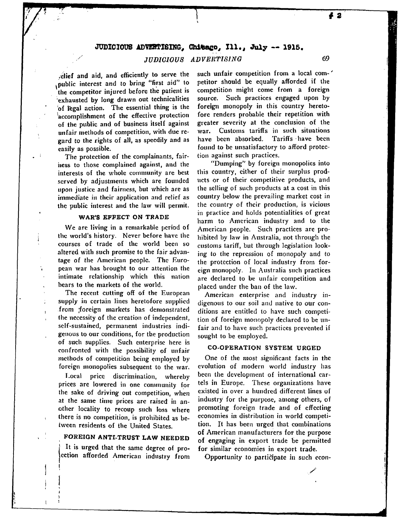#### **JUDICIOUS ADVERTISING, Chttwco, 111., July — 1915.**

## *JUDICIOUS ADVEHTIS1NG* 69

yelief and aid, and efficiently to serve the .public interest and to bring "first aid" to the competitor injured before the patient is exhausted by long drawn out technicalities 'of legal action. The essential thing is the accomplishment of the effective protection of the public and of business itself against unfair methods of competition, with due regard to the rights of all, as speedily and as easily as possible.

The protection of the complainants, fairness to those complained against, and the interests of the whole community are best served by adjustments which arc founded upon justice and fairness, but which are as immediate in their application and relief as the public interest and the law will permit.

#### **WAR'S EFFECT ON TRADE**

We are living in a remarkable period of the world's history. Never before have the courses of trade of the world been so altered with such promise to the fair advantage of the American people. The European war has brought to our attention the intimate relationship which this nation bears to the markets of the world.

The recent cutting off of the European supply in certain lines heretofore supplied from foreign markets has demonstrated the necessity of the creation of independent, self-sustained, permanent industries indigenous to our conditions, for the production of such supplies. Such enterprise here is confronted with the possibility of unfair methods of competition being employed by foreign monopolies subsequent to the war.

Local price discrimination, whereby prices are lowered in one community for the sake of driving out competition, when at the same time prices are raised in another locality to recoup such loss where there is no competition, is prohibited as between residents of the United States.

## **FOREIGN ANTI-TRUST LAW NEEDED**

It is urged that the same degree of proection afforded American industry from such unfair competition from a local com- ' petitor should be equally afforded if the competition might come from a foreign source. Such practices engaged upon by foreign monopoly in this country heretofore renders probable their repetition with greater severity at the conclusion of the war. Customs tariffs in such situations have been absorbed. Tariffs have been found to be unsatisfactory to afford protection against such practices.

"Dumping" by foreign monopolies into this country, cither of their surplus products or of their competitive products, and the selling of such products at a cost in this country below the prevailing market cost in the country of their production, is vicious in practice and holds potentialities of great harm to American industry and to the American people. Such practices are prohibited by law in Australia, not through the customs tariff, but through legislation looking to the repression of monopoly and to the protection of local industry from foreign monopoly. In Australia such practices are declared to be unfair competition and placed under the ban of the law.

American enterprise and industry indigenous to our soil and native to our conditions are entitled to have such competition of foreign monopoly declared to be unfair and to have such practices prevented if sought to be employed.

#### **CO-OPERATION SYSTEM URGED**

One of the most significant facts in the evolution of modern world industry has been the development of international cartels in Europe, These organizations have existed in over a hundred different lines of industry for the purpose, among others, of promoting foreign trade and of effecting economies in distribution in world competition. It has been urged that combinations of American manufacturers for the purpose of engaging in export trade be permitted for similar economies in export trade.

Opportunity to participate in such econ-

**#a**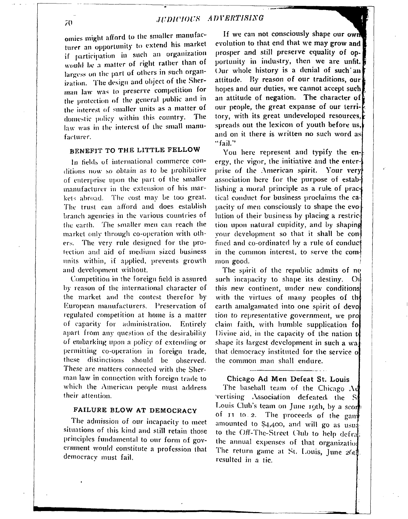**omies might afford to the smaller manufacturer an opportunity to extend his market if participation in such an organization would be** *a* **matter of right rather than of largess on the part of others in such organization. The design and object of the Sher**man law was to preserve competition for **the protection of the general public and m the interest of smaller units as a matter of domestic policy within this country. The** law was in the interest of the small manu**facturer.**

## **BENEFIT TO THE LITTLE FELLOW**

**In fields of international commerce conditions now so obtain as to be prohibitive of enterprise upon the part of the smaller manufacturer in the extension of his mar**  kets abroad. The cost may be too great. **The trust can afford and does establish branch agencies in the various countries of the earth. The smaller men can reach the market only through co-operation with others. The very rule designed for the prolection and aid of medium sized business units within, if applied, prevents growth and development without.**

**Competition in the foreign field is assured by reason of the international character of the market and the contest therefor by European manufacturers. Preservation of regulated competition at home is a matter of capacity for administration. Entirely apart from any question of the desirability of embarking upon a policy of extending or permitting co-operation in foreign trade, these distinctions should be observed. These arc matters connected with the Sherm an law in connection with foreign trade to which the American people must address their attention.**

## FAILURE BLOW AT DEMOCRACY

**The admission of our incapacity to meet situations of this kind and still retain those principles fundamental to our form of government would constitute a profession that democracy must fail.**

**i***1***s and on it there is written no such word as If we can not consciously shape our owr** evolution to that end that we may grow and **prosper and still preserve equality of op**portunity in industry, then we are unfit. Our whole history is a denial of such an **attitude. By reason of our traditions, our** hopes and our duties, we cannot accept such **an attitude of negation. The character of our people, the great expanse of our territory, with its great undeveloped resources, spreads out the lexicon of youth before us "fail."**

You here represent and typify the en**ergy, the vigor, the initiative and the enterprise of the American spirit. Your very association here for the purpose of establishing a moral principle as a rule of practical conduct for business proclaims the capacity of men consciously to shape the evo lution of their business by placing a restric tion upon natural cupidity, and by shaping your development so that it shall be confined and co-ordinated by a rule of conduct** in the common interest, to serve the common good.

**The spirit of the republic admits of nc; such incapacity to shape its destiny. C this new continent, under new condition** with the virtues of many peoples of the **earth amalgamated into one spirit of dev tion** *to* **representative government, we pr claim faith, with humble supplication f< Divine aid, in the capacity of the nation** shape its largest development in such a wa **that democracy instituted for the service the commo n ma n shall endure.**

#### **Chicago A d Me n Defeat St. Louis**

**The baseball team of the Chicago A vertising Association defeated, the S Louis Club's team on June 19th, by a sco of IT to 2. The proceeds of the gan amounted to \$4,400, and will go as usu to the Off-The-Strect Club to help defra the annual expenses of that organizatio** The return game at St. Louis, June 26th **resulted in a tie.**